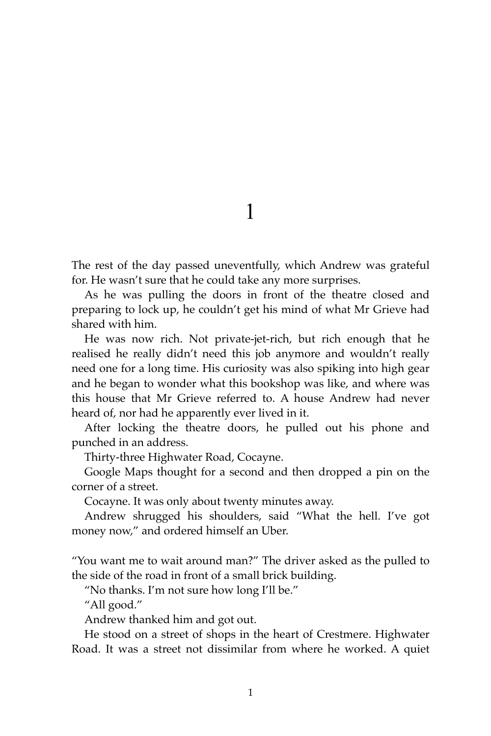1

The rest of the day passed uneventfully, which Andrew was grateful for. He wasn't sure that he could take any more surprises.

As he was pulling the doors in front of the theatre closed and preparing to lock up, he couldn't get his mind of what Mr Grieve had shared with him.

He was now rich. Not private-jet-rich, but rich enough that he realised he really didn't need this job anymore and wouldn't really need one for a long time. His curiosity was also spiking into high gear and he began to wonder what this bookshop was like, and where was this house that Mr Grieve referred to. A house Andrew had never heard of, nor had he apparently ever lived in it.

After locking the theatre doors, he pulled out his phone and punched in an address.

Thirty-three Highwater Road, Cocayne.

Google Maps thought for a second and then dropped a pin on the corner of a street.

Cocayne. It was only about twenty minutes away.

Andrew shrugged his shoulders, said "What the hell. I've got money now," and ordered himself an Uber.

"You want me to wait around man?" The driver asked as the pulled to the side of the road in front of a small brick building.

"No thanks. I'm not sure how long I'll be."

"All good."

Andrew thanked him and got out.

He stood on a street of shops in the heart of Crestmere. Highwater Road. It was a street not dissimilar from where he worked. A quiet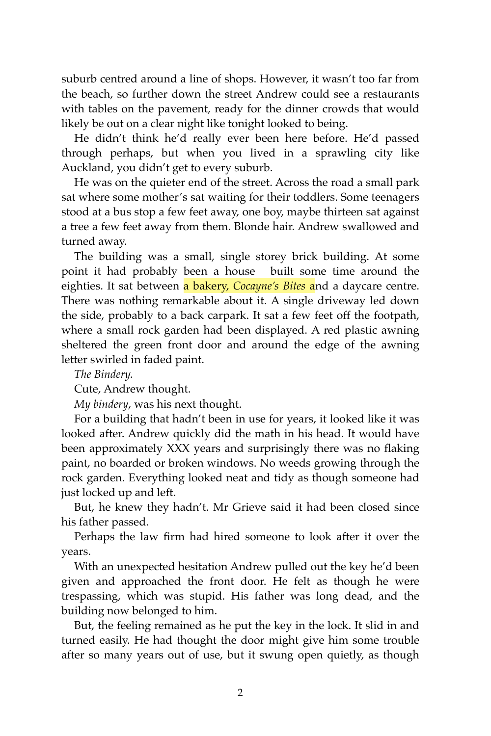suburb centred around a line of shops. However, it wasn't too far from the beach, so further down the street Andrew could see a restaurants with tables on the pavement, ready for the dinner crowds that would likely be out on a clear night like tonight looked to being.

He didn't think he'd really ever been here before. He'd passed through perhaps, but when you lived in a sprawling city like Auckland, you didn't get to every suburb.

He was on the quieter end of the street. Across the road a small park sat where some mother's sat waiting for their toddlers. Some teenagers stood at a bus stop a few feet away, one boy, maybe thirteen sat against a tree a few feet away from them. Blonde hair. Andrew swallowed and turned away.

The building was a small, single storey brick building. At some point it had probably been a house built some time around the eighties. It sat between a bakery, *Cocayne's Bites* and a daycare centre. There was nothing remarkable about it. A single driveway led down the side, probably to a back carpark. It sat a few feet off the footpath, where a small rock garden had been displayed. A red plastic awning sheltered the green front door and around the edge of the awning letter swirled in faded paint.

*The Bindery.*

Cute, Andrew thought.

*My bindery*, was his next thought.

For a building that hadn't been in use for years, it looked like it was looked after. Andrew quickly did the math in his head. It would have been approximately XXX years and surprisingly there was no flaking paint, no boarded or broken windows. No weeds growing through the rock garden. Everything looked neat and tidy as though someone had just locked up and left.

But, he knew they hadn't. Mr Grieve said it had been closed since his father passed.

Perhaps the law firm had hired someone to look after it over the years.

With an unexpected hesitation Andrew pulled out the key he'd been given and approached the front door. He felt as though he were trespassing, which was stupid. His father was long dead, and the building now belonged to him.

But, the feeling remained as he put the key in the lock. It slid in and turned easily. He had thought the door might give him some trouble after so many years out of use, but it swung open quietly, as though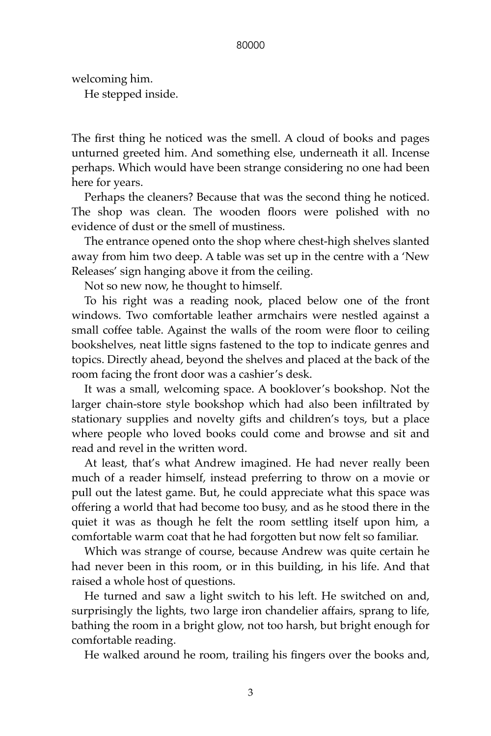welcoming him. He stepped inside.

The first thing he noticed was the smell. A cloud of books and pages unturned greeted him. And something else, underneath it all. Incense perhaps. Which would have been strange considering no one had been here for years.

Perhaps the cleaners? Because that was the second thing he noticed. The shop was clean. The wooden floors were polished with no evidence of dust or the smell of mustiness.

The entrance opened onto the shop where chest-high shelves slanted away from him two deep. A table was set up in the centre with a 'New Releases' sign hanging above it from the ceiling.

Not so new now, he thought to himself.

To his right was a reading nook, placed below one of the front windows. Two comfortable leather armchairs were nestled against a small coffee table. Against the walls of the room were floor to ceiling bookshelves, neat little signs fastened to the top to indicate genres and topics. Directly ahead, beyond the shelves and placed at the back of the room facing the front door was a cashier's desk.

It was a small, welcoming space. A booklover's bookshop. Not the larger chain-store style bookshop which had also been infiltrated by stationary supplies and novelty gifts and children's toys, but a place where people who loved books could come and browse and sit and read and revel in the written word.

At least, that's what Andrew imagined. He had never really been much of a reader himself, instead preferring to throw on a movie or pull out the latest game. But, he could appreciate what this space was offering a world that had become too busy, and as he stood there in the quiet it was as though he felt the room settling itself upon him, a comfortable warm coat that he had forgotten but now felt so familiar.

Which was strange of course, because Andrew was quite certain he had never been in this room, or in this building, in his life. And that raised a whole host of questions.

He turned and saw a light switch to his left. He switched on and, surprisingly the lights, two large iron chandelier affairs, sprang to life, bathing the room in a bright glow, not too harsh, but bright enough for comfortable reading.

He walked around he room, trailing his fingers over the books and,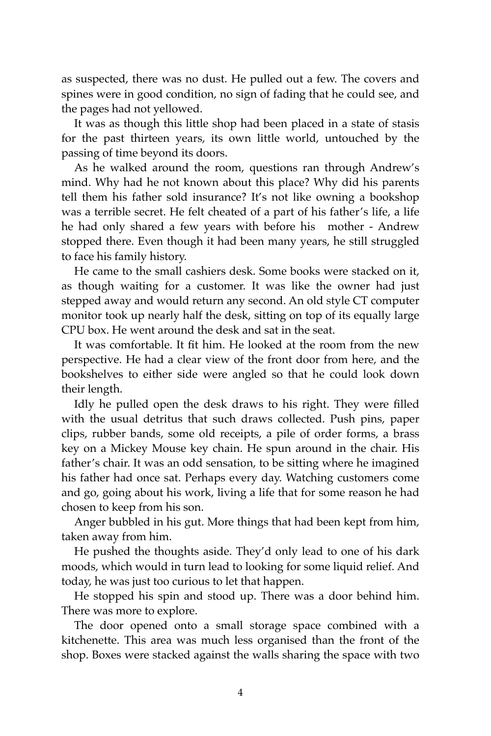as suspected, there was no dust. He pulled out a few. The covers and spines were in good condition, no sign of fading that he could see, and the pages had not yellowed.

It was as though this little shop had been placed in a state of stasis for the past thirteen years, its own little world, untouched by the passing of time beyond its doors.

As he walked around the room, questions ran through Andrew's mind. Why had he not known about this place? Why did his parents tell them his father sold insurance? It's not like owning a bookshop was a terrible secret. He felt cheated of a part of his father's life, a life he had only shared a few years with before his mother - Andrew stopped there. Even though it had been many years, he still struggled to face his family history.

He came to the small cashiers desk. Some books were stacked on it, as though waiting for a customer. It was like the owner had just stepped away and would return any second. An old style CT computer monitor took up nearly half the desk, sitting on top of its equally large CPU box. He went around the desk and sat in the seat.

It was comfortable. It fit him. He looked at the room from the new perspective. He had a clear view of the front door from here, and the bookshelves to either side were angled so that he could look down their length.

Idly he pulled open the desk draws to his right. They were filled with the usual detritus that such draws collected. Push pins, paper clips, rubber bands, some old receipts, a pile of order forms, a brass key on a Mickey Mouse key chain. He spun around in the chair. His father's chair. It was an odd sensation, to be sitting where he imagined his father had once sat. Perhaps every day. Watching customers come and go, going about his work, living a life that for some reason he had chosen to keep from his son.

Anger bubbled in his gut. More things that had been kept from him, taken away from him.

He pushed the thoughts aside. They'd only lead to one of his dark moods, which would in turn lead to looking for some liquid relief. And today, he was just too curious to let that happen.

He stopped his spin and stood up. There was a door behind him. There was more to explore.

The door opened onto a small storage space combined with a kitchenette. This area was much less organised than the front of the shop. Boxes were stacked against the walls sharing the space with two